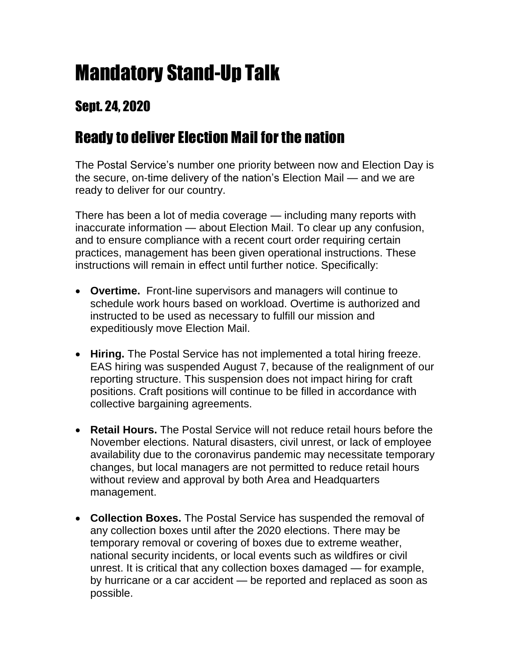## Mandatory Stand-Up Talk

## Sept. 24, 2020

## Ready to deliver Election Mail for the nation

The Postal Service's number one priority between now and Election Day is the secure, on-time delivery of the nation's Election Mail — and we are ready to deliver for our country.

There has been a lot of media coverage — including many reports with inaccurate information — about Election Mail. To clear up any confusion, and to ensure compliance with a recent court order requiring certain practices, management has been given operational instructions. These instructions will remain in effect until further notice. Specifically:

- **Overtime.** Front-line supervisors and managers will continue to schedule work hours based on workload. Overtime is authorized and instructed to be used as necessary to fulfill our mission and expeditiously move Election Mail.
- **Hiring.** The Postal Service has not implemented a total hiring freeze. EAS hiring was suspended August 7, because of the realignment of our reporting structure. This suspension does not impact hiring for craft positions. Craft positions will continue to be filled in accordance with collective bargaining agreements.
- **Retail Hours.** The Postal Service will not reduce retail hours before the November elections. Natural disasters, civil unrest, or lack of employee availability due to the coronavirus pandemic may necessitate temporary changes, but local managers are not permitted to reduce retail hours without review and approval by both Area and Headquarters management.
- **Collection Boxes.** The Postal Service has suspended the removal of any collection boxes until after the 2020 elections. There may be temporary removal or covering of boxes due to extreme weather, national security incidents, or local events such as wildfires or civil unrest. It is critical that any collection boxes damaged — for example, by hurricane or a car accident — be reported and replaced as soon as possible.